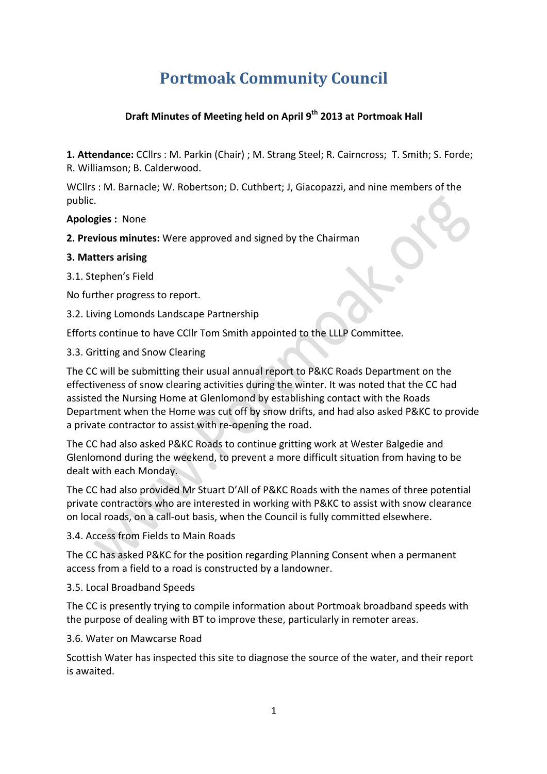# **Portmoak Community Council**

# **Draft Minutes of Meeting held on April 9<sup>th</sup> 2013 at Portmoak Hall**

**1. Attendance:** CCllrs : M. Parkin (Chair) ; M. Strang Steel; R. Cairncross; T. Smith; S. Forde; R. Williamson; B. Calderwood.

WCllrs : M. Barnacle: W. Robertson: D. Cuthbert: J. Giacopazzi, and nine members of the public.

**Apologies :**  None

**2. Previous minutes:** Were approved and signed by the Chairman

## **3. Matters arising**

3.1. Stephen's Field

No further progress to report.

3.2. Living Lomonds Landscape Partnership

Efforts continue to have CCllr Tom Smith appointed to the LLLP Committee.

#### 3.3. Gritting and Snow Clearing

The CC will be submitting their usual annual report to P&KC Roads Department on the effectiveness of snow clearing activities during the winter. It was noted that the CC had assisted the Nursing Home at Glenlomond by establishing contact with the Roads Department when the Home was cut off by snow drifts, and had also asked P&KC to provide a private contractor to assist with re-opening the road.

The CC had also asked P&KC Roads to continue gritting work at Wester Balgedie and Glenlomond during the weekend, to prevent a more difficult situation from having to be dealt with each Monday.

The CC had also provided Mr Stuart D'All of P&KC Roads with the names of three potential private contractors who are interested in working with P&KC to assist with snow clearance on local roads, on a call-out basis, when the Council is fully committed elsewhere.

3.4. Access from Fields to Main Roads

The CC has asked P&KC for the position regarding Planning Consent when a permanent access from a field to a road is constructed by a landowner.

3.5. Local Broadband Speeds

The CC is presently trying to compile information about Portmoak broadband speeds with the purpose of dealing with BT to improve these, particularly in remoter areas.

3.6. Water on Mawcarse Road

Scottish Water has inspected this site to diagnose the source of the water, and their report is awaited.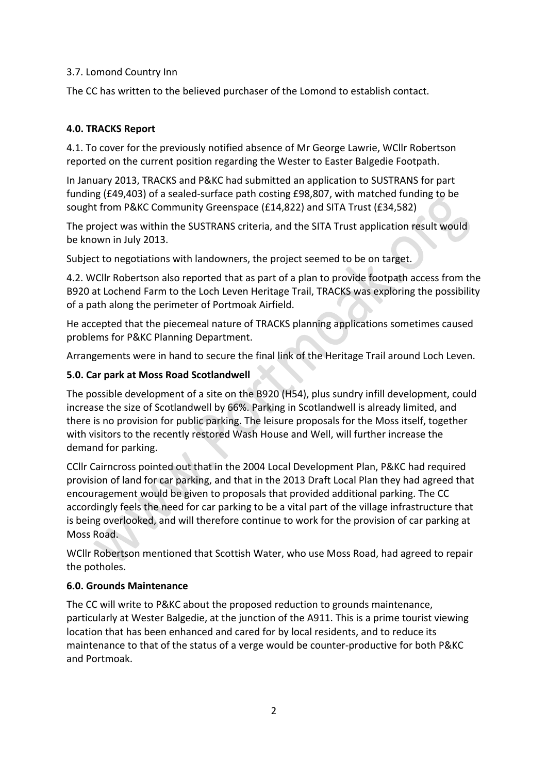## 3.7. Lomond Country Inn

The CC has written to the believed purchaser of the Lomond to establish contact.

# **4.0. TRACKS Report**

4.1. To cover for the previously notified absence of Mr George Lawrie, WCllr Robertson reported on the current position regarding the Wester to Easter Balgedie Footpath.

In January 2013, TRACKS and P&KC had submitted an application to SUSTRANS for part funding (£49,403) of a sealed-surface path costing  $E98,807$ , with matched funding to be sought from P&KC Community Greenspace (£14,822) and SITA Trust (£34,582)

The project was within the SUSTRANS criteria, and the SITA Trust application result would be known in July 2013.

Subject to negotiations with landowners, the project seemed to be on target.

4.2. WCllr Robertson also reported that as part of a plan to provide footpath access from the B920 at Lochend Farm to the Loch Leven Heritage Trail, TRACKS was exploring the possibility of a path along the perimeter of Portmoak Airfield.

He accepted that the piecemeal nature of TRACKS planning applications sometimes caused problems for P&KC Planning Department.

Arrangements were in hand to secure the final link of the Heritage Trail around Loch Leven.

# **5.0. Car park at Moss Road Scotlandwell**

The possible development of a site on the B920 (H54), plus sundry infill development, could increase the size of Scotlandwell by 66%. Parking in Scotlandwell is already limited, and there is no provision for public parking. The leisure proposals for the Moss itself, together with visitors to the recently restored Wash House and Well, will further increase the demand for parking.

CCIIr Cairncross pointed out that in the 2004 Local Development Plan, P&KC had required provision of land for car parking, and that in the 2013 Draft Local Plan they had agreed that encouragement would be given to proposals that provided additional parking. The CC accordingly feels the need for car parking to be a vital part of the village infrastructure that is being overlooked, and will therefore continue to work for the provision of car parking at Moss Road.

WCllr Robertson mentioned that Scottish Water, who use Moss Road, had agreed to repair the potholes.

## **6.0. Grounds Maintenance**

The CC will write to P&KC about the proposed reduction to grounds maintenance, particularly at Wester Balgedie, at the junction of the A911. This is a prime tourist viewing location that has been enhanced and cared for by local residents, and to reduce its maintenance to that of the status of a verge would be counter-productive for both P&KC and Portmoak.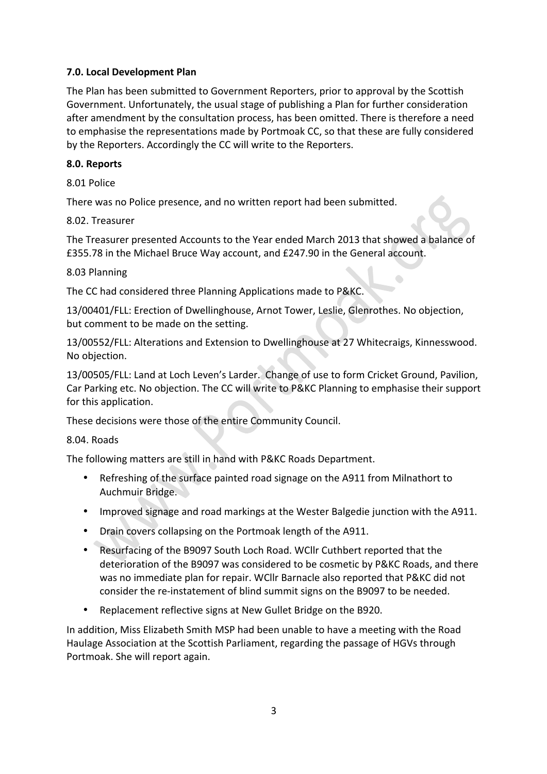## **7.0. Local Development Plan**

The Plan has been submitted to Government Reporters, prior to approval by the Scottish Government. Unfortunately, the usual stage of publishing a Plan for further consideration after amendment by the consultation process, has been omitted. There is therefore a need to emphasise the representations made by Portmoak CC, so that these are fully considered by the Reporters. Accordingly the CC will write to the Reporters.

#### **8.0. Reports**

8.01 Police

There was no Police presence, and no written report had been submitted.

#### 8.02. Treasurer

The Treasurer presented Accounts to the Year ended March 2013 that showed a balance of £355.78 in the Michael Bruce Way account, and £247.90 in the General account.

 $\hat{\phantom{a}}$ 

#### 8.03 Planning

The CC had considered three Planning Applications made to P&KC.

13/00401/FLL: Erection of Dwellinghouse, Arnot Tower, Leslie, Glenrothes. No objection, but comment to be made on the setting.

13/00552/FLL: Alterations and Extension to Dwellinghouse at 27 Whitecraigs, Kinnesswood. No objection.

13/00505/FLL: Land at Loch Leven's Larder. Change of use to form Cricket Ground, Pavilion, Car Parking etc. No objection. The CC will write to P&KC Planning to emphasise their support for this application.

These decisions were those of the entire Community Council.

#### 8.04. Roads

The following matters are still in hand with P&KC Roads Department.

- Refreshing of the surface painted road signage on the A911 from Milnathort to Auchmuir Bridge.
- Improved signage and road markings at the Wester Balgedie junction with the A911.
- Drain covers collapsing on the Portmoak length of the A911.
- Resurfacing of the B9097 South Loch Road. WCllr Cuthbert reported that the deterioration of the B9097 was considered to be cosmetic by P&KC Roads, and there was no immediate plan for repair. WCllr Barnacle also reported that P&KC did not consider the re-instatement of blind summit signs on the B9097 to be needed.
- Replacement reflective signs at New Gullet Bridge on the B920.

In addition, Miss Elizabeth Smith MSP had been unable to have a meeting with the Road Haulage Association at the Scottish Parliament, regarding the passage of HGVs through Portmoak. She will report again.